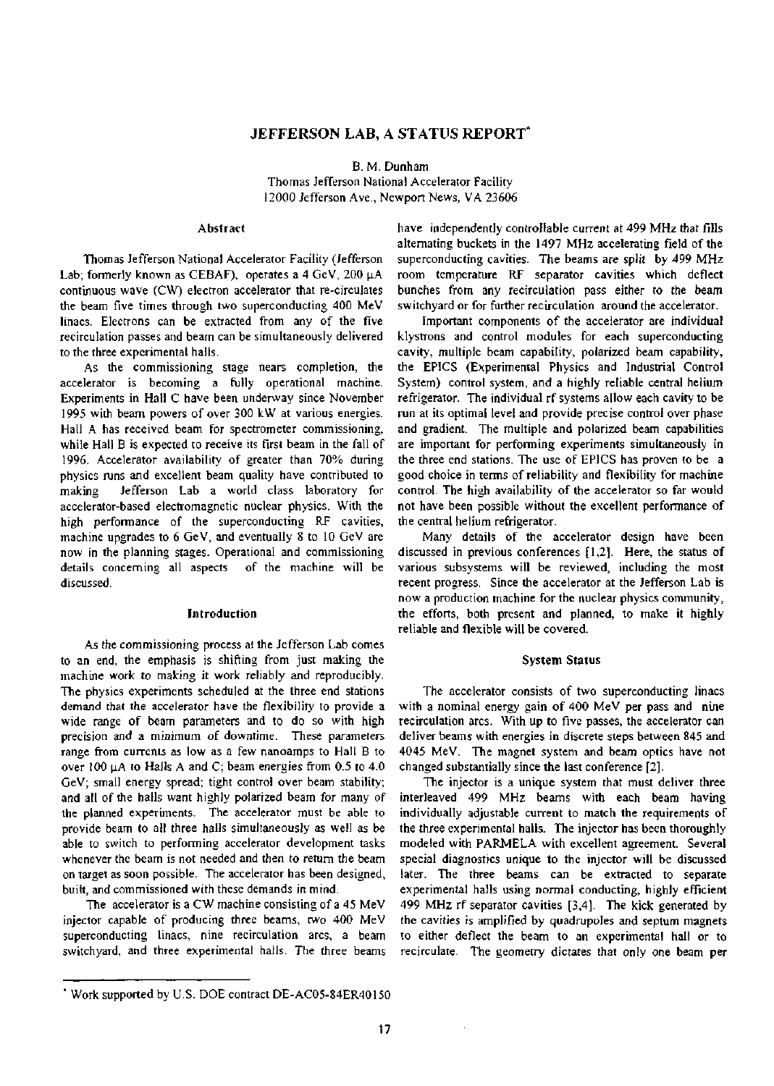# JEFFERSON LAB, A STATUS REPORT\*

B. M. Dunham Thomas Jefferson National Accelerator Facility 12000 Jefferson Ave., Newport News, VA 23606

#### **Abstract**

Thomas Jefferson National Accelerator Facility (Jefferson Lab; formerly known as CEBAF), operates a 4 GeV, 200 µA continuous wave (CW) electron accelerator that re-circulates the beam five times through two superconducting 400 MeV linacs. Electrons can be extracted from any of the five recirculation passes and beam can be simultaneously delivered to the three experimental halls.

As the commissioning stage nears completion, the accelerator is becoming a fully operational machine. Experiments in Hall C have been underway since November 1995 with beam powers of over 300 kW at various energies. Hall A has received beam for spectrometer commissioning, while Hall B is expected to receive its first beam in the fall of 1996. Accelerator availability of greater than 70% during physics runs and excellent beam quality have contributed to making Jefferson Lab a world class laboratory for accelerator-based electromagnetic nuclear physics. With the high performance of the superconducting RF cavities, machine upgrades to 6 GeV, and eventually 8 to 10 GeV are now in the planning stages. Operational and commissioning details concerning all aspects of the machine will be discussed.

# **Introduction**

*As* the commissioning process at the Jefferson Lab comes to an end, the emphasis is shifting from just making the machine work to making it work reliably and reproducibly. The physics experiments scheduled at the three end stations demand that the accelerator have the flexibility to provide a wide range of beam parameters and to do so with high precision and a minimum of downtime. These parameters range from currents as low as a few nanoamps to Hall B to over 100  $\mu$ A to Halls A and C; beam energies from 0.5 to 4.0 GeV; small energy spread; tight control over beam stability; and all of the halls want highly polarized beam for many of the planned experiments. The accelerator must be able to provide beam to all three halls simultaneously as well as be able to switch to performing accelerator development tasks whenever the beam is not needed and then to return the beam on target as soon possible. The accelerator has been designed, built, and commissioned with these demands in mind.

The accelerator is a CW machine consisting of a 45 MeV injector capable of producing three beams, two 400 MeV superconducting linacs, nine recirculation arcs, a beam switchyard, and three experimental halls. The three beams have independently controllable current at 499 MHz that fills alternating buckets in the 1497 MHz accelerating field of the superconducting cavities. The beams are split by 499 MHz room temperature RF separator cavities which deflect bunches from any recirculation pass either to the beam switchyard or for further recirculation around the accelerator.

Important components of the accelerator are individual klystrons and control modules for each superconducting cavity, multiple beam capability, polarized beam capability, the EPICS (Experimental Physics and Industrial Control System) control system, and a highly reliable central helium refrigerator. The individual rf systems allow each cavity to be run at its optimal level and provide precise control over phase and gradient. The multiple and polarized beam capabilities are important for performing experiments simultaneously in the three end stations. The use of EPICS has proven to be a good choice in terms of reliability and flexibility for machine control. The high availability of the accelerator so far would not have been possible without the excellent performance of the central helium refrigerator.

Many details of the accelerator design have been discussed in previous conferences [1,2]. Here, the status of various subsystems will be reviewed, including the most recent progress. Since the accelerator at the Jefferson Lab is now a production machine for the nuclear physics community, the efforts, both present and planned, to make it highly reliable and flexible will be covered.

#### **System Status**

The accelerator consists of two superconducting linacs with a nominal energy gain of 400 MeV per pass and nine recirculation arcs. With up to five passes, the accelerator can deliver beams with energies in discrete steps between 845 and 4045 MeV. The magnet system and beam optics have not changed substantially since the last conference [2].

The injector is a unique system that must deliver three interleaved 499 MHz beams with each beam having individually adjustable current to match the requirements of the three experimental halls. The injector has been thoroughly modeled with PARMELA with excellent agreement. Several special diagnostics unique to the injector will be discussed later. The three beams can be extracted to separate experimental halls using normal conducting, highly efficient 499 MHz rf separator cavities [3,4]. The kick generated by the cavities is amplified by quadrupoles and septum magnets to either deflect the beam to an experimental hall or to recirculate. The geometry dictates that only one beam per

 $\bar{z}$ 

Work supported by U.S. DOE contract DE-AC05-84ER40150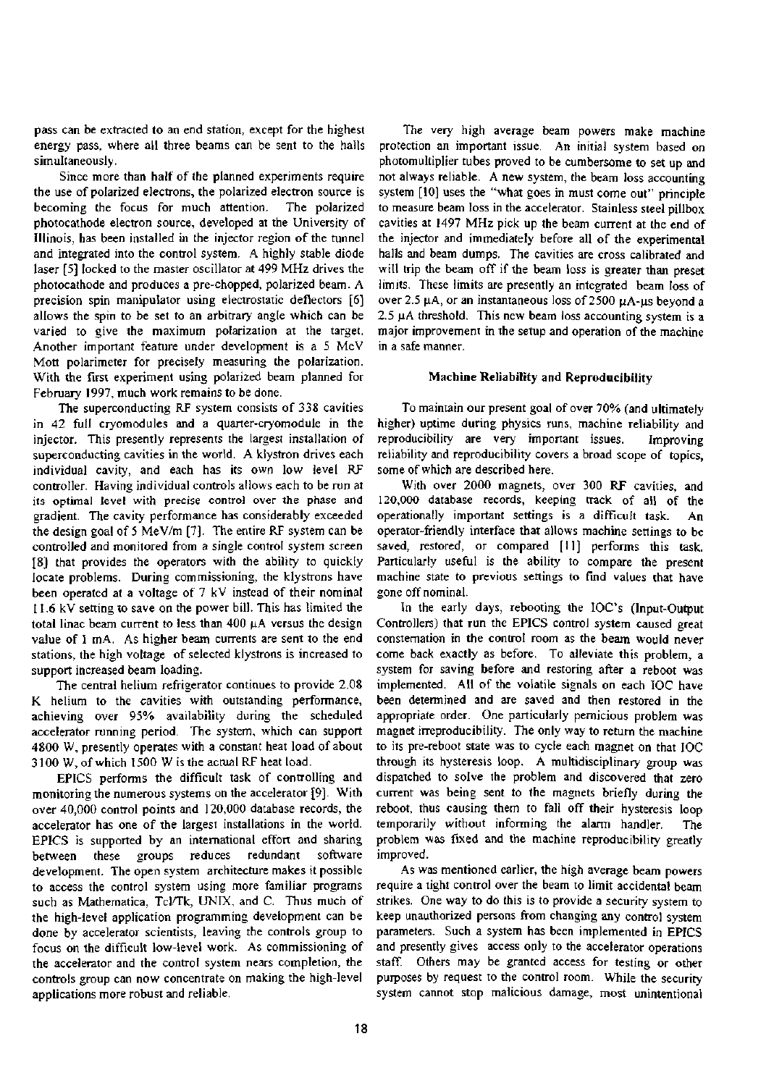pass can be extracted to an end station, except for the highest energy pass, where all three beams can be sent to the halls simultaneously.

Since more than half of the planned experiments require the use of polarized electrons, the polarized electron source is becoming the focus for much attention. The polarized photocathode electron source, developed at the University of Illinois, has been installed in the injector region of the tunnel and integrated into the control system. A highly stable diode laser [5] locked to the master oscillator at 499 MHz drives the photocathode and produces a pre-chopped, polarized beam. A precision spin manipulator using electrostatic deflectors [6] allows the spin to be set to an arbitrary angle which can be varied to give the maximum polarization at the target. Another important feature under development is a 5 MeV Mott polarimeter for precisely measuring the polarization. With the first experiment using polarized beam planned for February 1997, much work remains to be done.

The superconducting RF system consists of 338 cavities in 42 full cryomodules and a quarter-cryomodule in the injector. This presently represents the largest installation of superconducting cavities in the world. A klystron drives each individual cavity, and each has its own low level RF controller. Having individual controls allows each to be run at its optimal level with precise control over the phase and gradient. The cavity performance has considerably exceeded the design goal of 5 MeV/m [7]. The entire RF system can be controlled and monitored from a single control system screen [8] that provides the operators with the ability to quickly locate problems. During commissioning, the klystrons have been operated at a voltage of 7 kV instead of their nominal 11.6 kV setting to save on the power bill. This has limited the total linac beam current to less than 400 uA versus the design value of 1 mA. As higher beam currents are sent to the end stations, the high voltage of selected klystrons is increased to support increased beam loading.

The central helium refrigerator continues to provide 2.08 K helium to the cavities with outstanding performance, achieving over 95% availability during the scheduled accelerator running period. The system, which can support 4800 W, presently operates with a constant heat load of about 3100 W, of which 1500 W is the actual RF heat load.

EPICS performs the difficult task of controlling and monitoring the numerous systems on the accelerator [9]. With over 40,000 control points and 120,000 database records, the accelerator has one of the largest installations in the world. EPICS is supported by an international effort and sharing between these groups reduces redundant software development. The open system architecture makes it possible to access the control system using more familiar programs such as Mathematica, Tcl/Tk, UNIX, and C. Thus much of the high-level application programming development can be done by accelerator scientists, leaving the controls group to focus on the difficult low-level work. As commissioning of the accelerator and the control system nears completion, the controls group can now concentrate on making the high-level applications more robust and reliable.

The very high average beam powers make machine protection an important issue. An initial system based on photomultiplier tubes proved to be cumbersome to set up and not always reliable. A new system, the beam loss accounting system [10] uses the "what goes in must come out" principle to measure beam loss in the accelerator. Stainless steel pillbox cavities at 1497 MHz pick up the beam current at the end of the injector and immediately before all of the experimental halls and beam dumps. The cavities are cross calibrated and will trip the beam off if the beam loss is greater than preset limits. These limits are presently an integrated beam loss of over 2.5  $\mu$ A, or an instantaneous loss of 2500  $\mu$ A- $\mu$ s beyond a 2.5  $\mu$ A threshold. This new beam loss accounting system is a major improvement in the setup and operation of the machine in a safe manner.

# **Machine Reliability and Reproducibility**

To maintain our present goal of over 70% (and ultimately higher) uptime during physics runs, machine reliability and reproducibility are very important issues. Improving reliability and reproducibility covers a broad scope of topics, some of which are described here.

With over 2000 magnets, over 300 RF cavities, and 120,000 database records, keeping track of all of the operationally important settings is a difficult task. An operator-friendly interface that allows machine settings to be saved, restored, or compared [11] performs this task. Particularly useful is the ability to compare the present machine state to previous settings to find values that have gone off nominal.

In the early days, rebooting the IOC's (Input-Output Controllers) that run the EPICS control system caused great consternation in the control room as the beam would never come back exactly as before. To alleviate this problem, a system for saving before and restoring after a reboot was implemented. All of the volatile signals on each IOC have been determined and are saved and then restored in the appropriate order. One particularly pernicious problem was magnet irreproducibility. The only way to return the machine to its pre-reboot state was to cycle each magnet on that IOC through its hysteresis loop. A multidisciplinary group was dispatched to solve the problem and discovered that zero current was being sent to the magnets briefly during the reboot, thus causing them to fall off their hysteresis loop temporarily without informing the alarm handler. The problem was fixed and the machine reproducibility greatly improved.

As was mentioned earlier, the high average beam powers require a tight control over the beam to limit accidental beam strikes. One way to do this is to provide a security system to keep unauthorized persons from changing any control system parameters. Such a system has been implemented in EPICS and presently gives access only to the accelerator operations staff. Others may be granted access for testing or other purposes by request to the control room. While the security system cannot stop malicious damage, most unintentional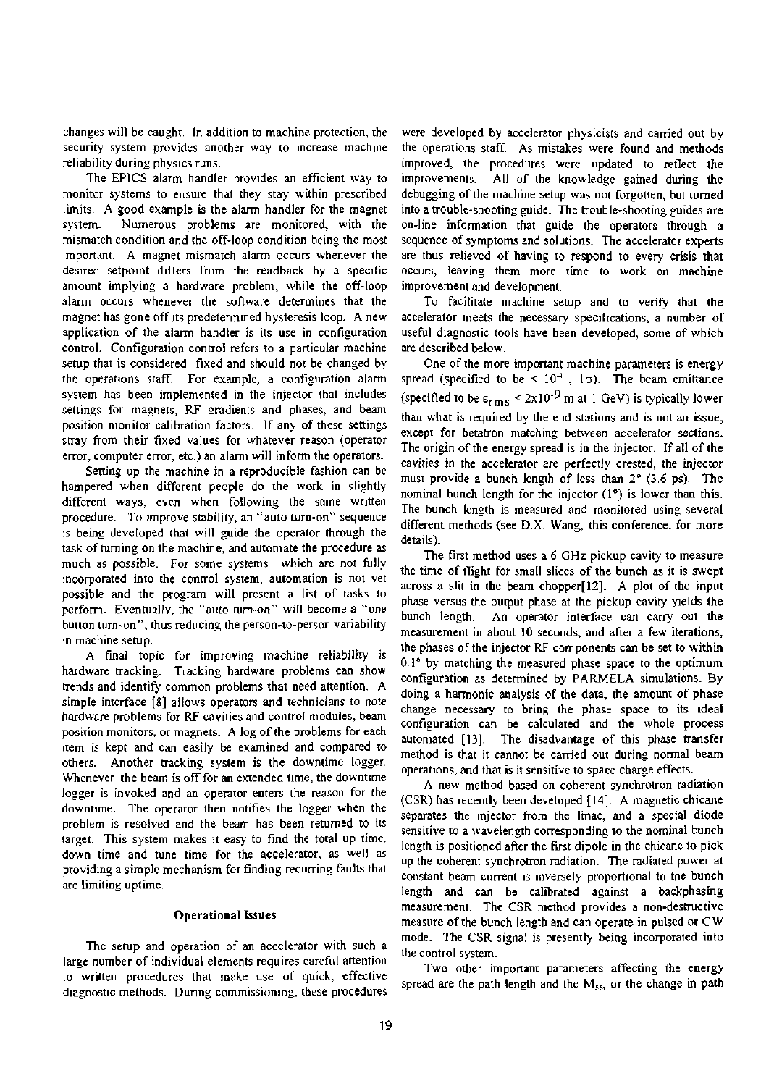changes will be caught. In addition to machine protection, the security system provides another way to increase machine reliability during physics runs.

The EPICS alarm handler provides an efficient way to monitor systems to ensure that they stay within prescribed limits. A good example is the alarm handler for the magnet system. Numerous problems are monitored, with the mismatch condition and the off-loop condition being the most important. A magnet mismatch alarm occurs whenever the desired setpoint differs from the readback by a specific amount implying a hardware problem, while the off-loop alarm occurs whenever the software determines that the magnet has gone off its predetermined hysteresis loop. A new application of the alarm handler is its use in configuration control. Configuration control refers to a particular machine setup that is considered fixed and should not be changed by the operations staff. For example, a configuration alarm system has been implemented in the injector that includes settings for magnets, RF gradients and phases, and beam position monitor calibration factors. If any of these settings stray from their fixed values for whatever reason (operator error, computer error, etc.) an alarm will inform the operators.

Setting up the machine in a reproducible fashion can be hampered when different people do the work in slightly different ways, even when following the same written procedure. To improve stability, an "auto tum-on" sequence is being developed that will guide the operator through the task of turning on the machine, and automate the procedure as much as possible. For some systems which are not fully incorporated into the control system, automation is not yet possible and the program will present a list of tasks to perform. Eventually, the "auto tum-on" will become a "one button turn-on", thus reducing the person-to-person variability in machine setup.

A final topic for improving machine reliability is hardware tracking. Tracking hardware problems can show trends and identify common problems that need attention. A simple interface [8] allows operators and technicians to note hardware problems for RF cavities and control modules, beam position monitors, or magnets. A log of the problems for each item is kept and can easily be examined and compared to others. Another tracking system is the downtime logger. Whenever the beam is off for an extended time, the downtime logger is invoked and an operator enters the reason for the downtime. The operator then notifies the logger when the problem is resolved and the beam has been returned to its target. This system makes it easy to find the total up time, down time and tune time for the accelerator, as well as providing a simple mechanism for finding recurring faults that are limiting uptime.

#### **Operational Issues**

The setup and operation of an accelerator with such a large number of individual elements requires careful attention to written procedures that make use of quick, effective diagnostic methods. During commissioning, these procedures

were developed by accelerator physicists and carried out by the operations staff. As mistakes were found and methods improved, the procedures were updated to reflect the improvements. All of the knowledge gained during the debugging of the machine setup was not forgotten, but turned into a trouble-shooting guide. The trouble-shooting guides are on-line information that guide the operators through a sequence of symptoms and solutions. The accelerator experts are thus relieved of having to respond to every crisis that occurs, leaving them more time to work on machine improvement and development.

To facilitate machine setup and to verify that the accelerator meets the necessary specifications, a number of useful diagnostic tools have been developed, some of which are described below.

One of the more important machine parameters is energy spread (specified to be <  $10<sup>-4</sup>$ ,  $1\sigma$ ). The beam emittance (specified to be  $\varepsilon_{\rm rms}$  < 2x10<sup>-9</sup> m at 1 GeV) is typically lower than what is required by the end stations and is not an issue, except for betatron matching between accelerator sections. The origin of the energy spread is in the injector. If all of the cavities in the accelerator are perfectly crested, the injector must provide a bunch length of less than 2° (3.6 ps). The nominal bunch length for the injector (1°) is lower than this. The bunch length is measured and monitored using several different methods (see D.X. Wang, this conference, for more details).

The first method uses a 6 GHz pickup cavity to measure the time of flight for small slices of the bunch as it is swept across a slit in the beam chopper[12]. A plot of the input phase versus the output phase at the pickup cavity yields the bunch length. An operator interface can carry out the measurement in about 10 seconds, and after a few iterations, the phases of the injector RF components can be set to within  $0.1^\circ$  by matching the measured phase space to the optimum configuration as determined by PARMELA simulations. By doing a harmonic analysis of the data, the amount of phase change necessary to bring the phase space to its ideal configuration can be calculated and the whole process automated [13]. The disadvantage of this phase transfer method is that it cannot be carried out during normal beam operations, and that is it sensitive to space charge effects.

A new method based on coherent synchrotron radiation (CSR) has recently been developed [14]. A magnetic chicane separates the injector from the linac, and a special diode sensitive to a wavelength corresponding to the nominal bunch length is positioned after the first dipole in the chicane to pick up the coherent synchrotron radiation. The radiated power at constant beam current is inversely proportional to the bunch length and can be calibrated against a backphasing measurement. The CSR method provides a non-destructive measure of the bunch length and can operate in pulsed or CW mode. The CSR signal is presently being incorporated into the control system.

Two other important parameters affecting the energy spread are the path length and the  $M<sub>56</sub>$ , or the change in path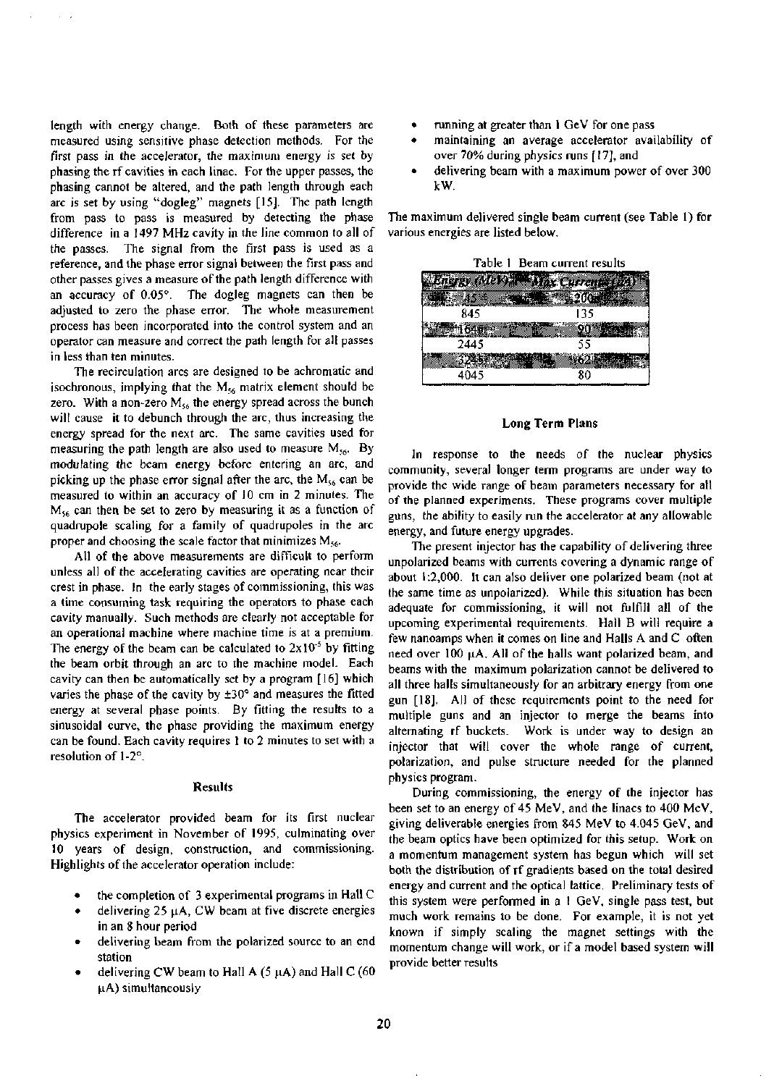length with energy change. Both of these parameters are measured using sensitive phase detection methods. For the first pass in the accelerator, the maximum energy is set by phasing the rf cavities in each linac. For the upper passes, the phasing cannot be altered, and the path length through each arc is set by using "dogleg" magnets [15]. The path length from pass to pass is measured by detecting the phase difference in a 1497 MHz cavity in the line common to all of the passes. The signal from the first pass is used as a reference, and the phase error signal between the first pass and other passes gives a measure of the path length difference with an accuracy of 0.05°. The dogleg magnets can then be adjusted to zero the phase error. The whole measurement process has been incorporated into the control system and an operator can measure and correct the path length for all passes in less than ten minutes.

The recirculation arcs are designed to be achromatic and isochronous, implying that the  $M_{56}$  matrix element should be zero. With a non-zero  $M_{56}$  the energy spread across the bunch will cause it to debunch through the arc, thus increasing the energy spread for the next arc. The same cavities used for measuring the path length are also used to measure  $M_{56}$ . By modulating the beam energy before entering an arc, and picking up the phase error signal after the arc, the  $M_{56}$  can be measured to within an accuracy of 10 cm in 2 minutes. The  $M_{56}$  can then be set to zero by measuring it as a function of quadrupole scaling for a family of quadrupoles in the arc proper and choosing the scale factor that minimizes  $M_{56}$ .

All of the above measurements are difficult to perform unless all of the accelerating cavities are operating near their crest in phase. In the early stages of commissioning, this was a time consuming task requiring the operators to phase each cavity manually. Such methods are clearly not acceptable for an operational machine where machine time is at a premium. The energy of the beam can be calculated to  $2x10^{-5}$  by fitting the beam orbit through an arc to the machine model. Each cavity can then be automatically set by a program [16] which varies the phase of the cavity by ±30° and measures the fitted energy at several phase points. By fitting the results to a sinusoidal curve, the phase providing the maximum energy can be found. Each cavity requires 1 to 2 minutes to set with a resolution of 1-2°.

### **Results**

The accelerator provided beam for its first nuclear physics experiment in November of 1995, culminating over 10 years of design, construction, and commissioning. Highlights of the accelerator operation include:

- the completion of 3 experimental programs in Hall C
- delivering 25  $\mu$ A, CW beam at five discrete energies in an 8 hour period
- delivering beam from the polarized source to an end station
- delivering CW beam to Hall A  $(5 \mu A)$  and Hall C  $(60 \mu A)$ uA) simultaneously
- running at greater than 1 GeV for one pass
- maintaining an average accelerator availability of over 70% during physics runs [17], and
- delivering beam with a maximum power of over 300 kW.

The maximum delivered single beam current (see Table 1) for various energies are listed below.

| Table 1 Beam current results |             |
|------------------------------|-------------|
|                              | ex Currenti |
|                              |             |
| 845                          | 135         |
|                              |             |
| 2445                         | 55          |
|                              |             |
|                              |             |

## **Long Term Plans**

In response to the needs of the nuclear physics community, several longer term programs are under way to provide the wide range of beam parameters necessary for all of the planned experiments. These programs cover multiple guns, the ability to easily run the accelerator at any allowable energy, and future energy upgrades.

The present injector has the capability of delivering three unpolarized beams with currents covering a dynamic range of about 1:2,000. It can also deliver one polarized beam (not at the same time as unpolarized). While this situation has been adequate for commissioning, it will not fulfill all of the upcoming experimental requirements. Hall B will require a few nanoamps when it comes on line and Halls A and C often need over 100 uA. All of the halls want polarized beam, and beams with the maximum polarization cannot be delivered to all three halls simultaneously for an arbitrary energy from one gun [18]. All of these requirements point to the need for multiple guns and an injector to merge the beams into alternating rf buckets. Work is under way to design an injector that will cover the whole range of current, polarization, and pulse structure needed for the planned physics program.

During commissioning, the energy of the injector has been set to an energy of 45 MeV, and the linacs to 400 MeV, giving deliverable energies from 845 MeV to 4.045 GeV, and the beam optics have been optimized for this setup. Work on a momentum management system has begun which will set both the distribution of rf gradients based on the total desired energy and current and the optical lattice. Preliminary tests of this system were performed in a 1 GeV, single pass test, but much work remains to be done. For example, it is not yet known if simply scaling the magnet settings with the momentum change will work, or if a model based system will provide better results